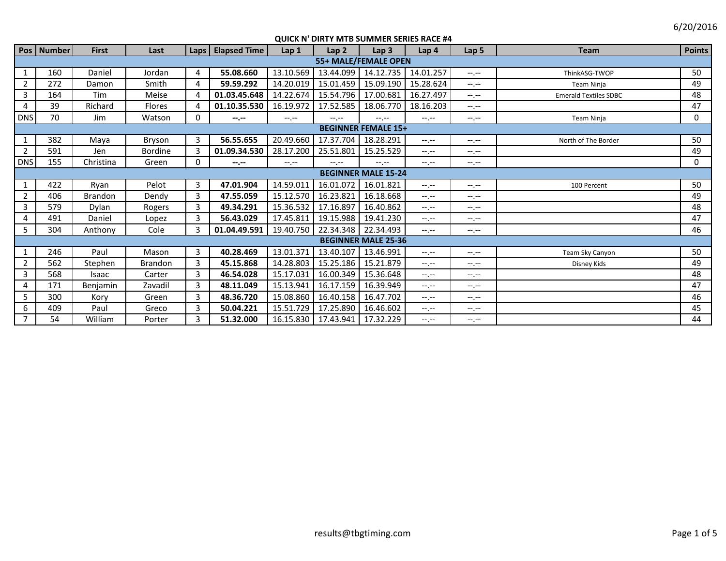6/20/2016

|                | Pos   Number               | <b>First</b>   | Last           |          | Laps   Elapsed Time | Lap <sub>1</sub> | Lap <sub>2</sub>      | Lap <sub>3</sub>           | Lap <sub>4</sub> | Lap <sub>5</sub> | <b>Team</b>                  | <b>Points</b> |  |
|----------------|----------------------------|----------------|----------------|----------|---------------------|------------------|-----------------------|----------------------------|------------------|------------------|------------------------------|---------------|--|
|                | 55+ MALE/FEMALE OPEN       |                |                |          |                     |                  |                       |                            |                  |                  |                              |               |  |
| $\mathbf{1}$   | 160                        | Daniel         | Jordan         | 4        | 55.08.660           | 13.10.569        | 13.44.099             | 14.12.735                  | 14.01.257        | $-1 - 1 - 1 = 0$ | ThinkASG-TWOP                | 50            |  |
| $\overline{2}$ | 272                        | Damon          | Smith          | 4        | 59.59.292           | 14.20.019        | 15.01.459             | 15.09.190                  | 15.28.624        | $-1 - 1 - 1 = 0$ | <b>Team Ninja</b>            | 49            |  |
| 3              | 164                        | Tim            | Meise          |          | 01.03.45.648        | 14.22.674        | 15.54.796             | 17.00.681                  | 16.27.497        | $-1 - 1 - 1 = 0$ | <b>Emerald Textiles SDBC</b> | 48            |  |
| 4              | 39                         | Richard        | Flores         |          | 01.10.35.530        | 16.19.972        | 17.52.585             | 18.06.770                  | 18.16.203        | $-1, -1$         |                              | 47            |  |
| <b>DNS</b>     | 70                         | Jim            | Watson         | $\Omega$ | $-2 - 1 - 1 = 0$    | $-1$ , $-1$      | $-1$ , $-1$           | $-1$ , $-1$                | $-1 - 1 - 1 = 0$ | $-1$ , $-1$      | <b>Team Ninja</b>            | 0             |  |
|                | <b>BEGINNER FEMALE 15+</b> |                |                |          |                     |                  |                       |                            |                  |                  |                              |               |  |
| $\mathbf{1}$   | 382                        | Maya           | Bryson         | 3        | 56.55.655           | 20.49.660        | 17.37.704             | 18.28.291                  | $-1 - 1 - 1 = 0$ | $-1, -1$         | North of The Border          | 50            |  |
| 2              | 591                        | Jen            | <b>Bordine</b> | 3        | 01.09.34.530        | 28.17.200        | 25.51.801             | 15.25.529                  | $-1 - 1 - 1 = 0$ | $-1, -1$         |                              | 49            |  |
| <b>DNS</b>     | 155                        | Christina      | Green          | 0        | $-2 - 1 - 1 = 0$    | $-1 - 1 - 1 = 0$ | $-1 - 1 - 1 = 0$      | $-1$                       | $-1.1$           | $-1, -1$         |                              | 0             |  |
|                | <b>BEGINNER MALE 15-24</b> |                |                |          |                     |                  |                       |                            |                  |                  |                              |               |  |
|                | 422                        | Ryan           | Pelot          | 3        | 47.01.904           | 14.59.011        | 16.01.072             | 16.01.821                  | $-1$ , $-1$      | $-1 - 1 - 1 = 0$ | 100 Percent                  | 50            |  |
| $\overline{2}$ | 406                        | <b>Brandon</b> | Dendy          | 3        | 47.55.059           | 15.12.570        | 16.23.821             | 16.18.668                  | $-1, -1$         | $-1$ , $-1$      |                              | 49            |  |
| 3              | 579                        | Dylan          | Rogers         | 3        | 49.34.291           | 15.36.532        | 17.16.897             | 16.40.862                  | $-1 - 1 - 1 = 0$ | $-1 - 1 - 1$     |                              | 48            |  |
| 4              | 491                        | Daniel         | Lopez          | 3        | 56.43.029           | 17.45.811        | 19.15.988             | 19.41.230                  | $-1 - 1 - 1 = 0$ | $-1 - 1 - 1 = 0$ |                              | 47            |  |
| 5              | 304                        | Anthony        | Cole           | 3        | 01.04.49.591        | 19.40.750        | 22.34.348             | 22.34.493                  | $-1, -1$         | $-1 - 1 - 1$     |                              | 46            |  |
|                |                            |                |                |          |                     |                  |                       | <b>BEGINNER MALE 25-36</b> |                  |                  |                              |               |  |
|                | 246                        | Paul           | Mason          | 3        | 40.28.469           | 13.01.371        | 13.40.107             | 13.46.991                  | $-1$ , $-1$      | $-1 - 1 - 1$     | Team Sky Canyon              | 50            |  |
| 2              | 562                        | Stephen        | <b>Brandon</b> | 3        | 45.15.868           | 14.28.803        | 15.25.186             | 15.21.879                  | $-1$ , $-1$      | $-1. - -$        | Disney Kids                  | 49            |  |
| 3              | 568                        | Isaac          | Carter         | 3        | 46.54.028           | 15.17.031        | 16.00.349             | 15.36.648                  | $-1$ , $-1$      | $-1 - 1 - 1$     |                              | 48            |  |
| 4              | 171                        | Benjamin       | Zavadil        | 3        | 48.11.049           | 15.13.941        | 16.17.159             | 16.39.949                  | $-1$ , $-1$      | $-1$ , $-1$      |                              | 47            |  |
| 5              | 300                        | Kory           | Green          | 3        | 48.36.720           | 15.08.860        | 16.40.158             | 16.47.702                  | $-1.1 - 1.0$     | $-1$ , $-1$      |                              | 46            |  |
| 6              | 409                        | Paul           | Greco          | 3        | 50.04.221           | 15.51.729        | 17.25.890             | 16.46.602                  | $-1$ , $-1$      | $-1$ , $-1$      |                              | 45            |  |
| $\overline{7}$ | 54                         | William        | Porter         | 3        | 51.32.000           |                  | 16.15.830   17.43.941 | 17.32.229                  | $-1$ , $-1$      | --.--            |                              | 44            |  |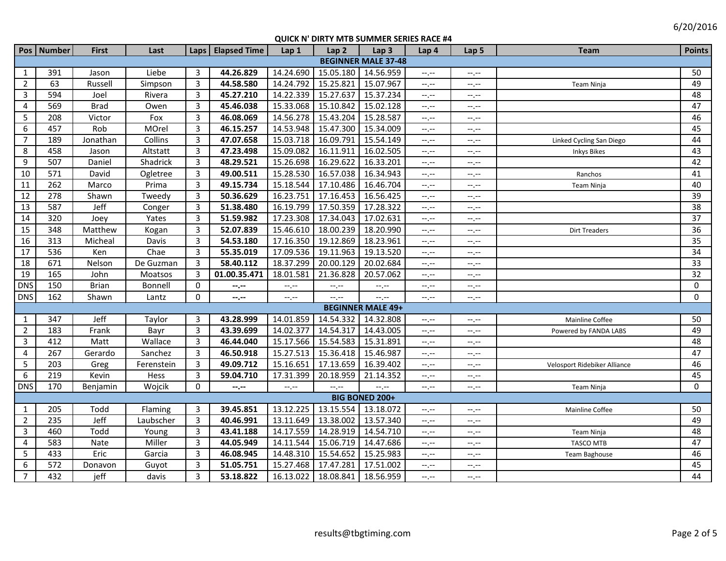|                            | Pos   Number | <b>First</b> | Last       |                | Laps   Elapsed Time | Lap1                        | Lap <sub>2</sub>    | Lap <sub>3</sub>         | Lap 4                       | Lap <sub>5</sub> | <b>Team</b>                  | <b>Points</b>   |
|----------------------------|--------------|--------------|------------|----------------|---------------------|-----------------------------|---------------------|--------------------------|-----------------------------|------------------|------------------------------|-----------------|
| <b>BEGINNER MALE 37-48</b> |              |              |            |                |                     |                             |                     |                          |                             |                  |                              |                 |
| 1                          | 391          | Jason        | Liebe      | $\overline{3}$ | 44.26.829           | 14.24.690                   | 15.05.180 14.56.959 |                          | $-1$ .                      | $-1$ , $-1$      |                              | 50              |
| $\overline{2}$             | 63           | Russell      | Simpson    | $\overline{3}$ | 44.58.580           | 14.24.792                   | 15.25.821           | 15.07.967                | $-1$                        | --,--            | Team Ninja                   | 49              |
| $\mathbf{3}$               | 594          | Joel         | Rivera     | $\overline{3}$ | 45.27.210           | 14.22.339                   | 15.27.637           | 15.37.234                | $-1$ . $-1$                 | --,--            |                              | $\overline{48}$ |
| 4                          | 569          | <b>Brad</b>  | Owen       | $\overline{3}$ | 45.46.038           | 15.33.068                   | 15.10.842           | 15.02.128                | $-1, -1$                    | $-1, -1$         |                              | 47              |
| 5                          | 208          | Victor       | Fox        | 3              | 46.08.069           | 14.56.278                   | 15.43.204           | 15.28.587                | $\leftarrow$                | $-1$ , $-1$      |                              | 46              |
| 6                          | 457          | Rob          | MOrel      | 3              | 46.15.257           | 14.53.948                   | 15.47.300           | 15.34.009                | $-1$ . $-1$                 | $-1, -1$         |                              | 45              |
| $\overline{7}$             | 189          | Jonathan     | Collins    | $\overline{3}$ | 47.07.658           | 15.03.718                   | 16.09.791           | 15.54.149                | $-1$ , $-1$                 | $-1, -1$         | Linked Cycling San Diego     | 44              |
| 8                          | 458          | Jason        | Altstatt   | $\overline{3}$ | 47.23.498           | 15.09.082                   | 16.11.911           | 16.02.505                | $-$ , $-$                   | --,--            | Inkys Bikes                  | 43              |
| 9                          | 507          | Daniel       | Shadrick   | 3              | 48.29.521           | 15.26.698                   | 16.29.622           | 16.33.201                | $-1$ , $-1$                 | --.--            |                              | 42              |
| 10                         | 571          | David        | Ogletree   | 3              | 49.00.511           | 15.28.530                   | 16.57.038           | 16.34.943                | $--, --$                    | --.--            | Ranchos                      | 41              |
| 11                         | 262          | Marco        | Prima      | 3              | 49.15.734           | 15.18.544                   | 17.10.486           | 16.46.704                | $-$ , $-$                   | $-1$ , $-1$      | Team Ninja                   | 40              |
| 12                         | 278          | Shawn        | Tweedy     | 3              | 50.36.629           | 16.23.751                   | 17.16.453           | 16.56.425                | $-1, -1$                    | $-1, -1$         |                              | 39              |
| 13                         | 587          | <b>Jeff</b>  | Conger     | 3              | 51.38.480           | 16.19.799                   | 17.50.359 17.28.322 |                          | $-1$ , $-1$                 | --.--            |                              | 38              |
| 14                         | 320          | Joey         | Yates      | 3              | 51.59.982           | 17.23.308                   | 17.34.043           | 17.02.631                | $-1$ , $-1$                 | $-1, -1$         |                              | 37              |
| 15                         | 348          | Matthew      | Kogan      | 3              | 52.07.839           | 15.46.610                   | 18.00.239           | 18.20.990                | $-1$ , $-1$                 | $-1, -1$         | <b>Dirt Treaders</b>         | 36              |
| 16                         | 313          | Micheal      | Davis      | 3              | 54.53.180           | 17.16.350                   | 19.12.869           | 18.23.961                | $-1$                        | $-1$ , $-1$      |                              | 35              |
| 17                         | 536          | Ken          | Chae       | 3              | 55.35.019           | 17.09.536                   | 19.11.963           | 19.13.520                | $-1$ , $-1$                 | $-1$ .           |                              | 34              |
| 18                         | 671          | Nelson       | De Guzman  | 3              | 58.40.112           | 18.37.299                   | 20.00.129           | 20.02.684                | $-1, -1$                    | $-1, -1$         |                              | 33              |
| 19                         | 165          | John         | Moatsos    | 3              | 01.00.35.471        | 18.01.581                   | 21.36.828           | 20.57.062                | $-1$ , $-1$                 | --.--            |                              | 32              |
| <b>DNS</b>                 | 150          | <b>Brian</b> | Bonnell    | $\mathbf 0$    | --.--               | $\leftarrow$ , $\leftarrow$ | $-1$ , $-1$         | $-1, -1$                 | $-1, -1$                    | $-1, -1$         |                              | 0               |
| <b>DNS</b>                 | 162          | Shawn        | Lantz      | $\mathbf 0$    | --.--               | $-1, -1$                    | --.--               | $--, --$                 | $-1, -1$                    | --.--            |                              | $\mathbf 0$     |
|                            |              |              |            |                |                     |                             |                     | <b>BEGINNER MALE 49+</b> |                             |                  |                              |                 |
| 1                          | 347          | Jeff         | Taylor     | 3              | 43.28.999           | 14.01.859                   | 14.54.332           | 14.32.808                | $-1$ , $-1$                 | $-1$ , $-1$      | Mainline Coffee              | 50              |
| $\overline{2}$             | 183          | Frank        | Bayr       | 3              | 43.39.699           | 14.02.377                   | 14.54.317           | 14.43.005                | $-1$ , $-1$                 | $-1$             | Powered by FANDA LABS        | 49              |
| 3                          | 412          | Matt         | Wallace    | 3              | 46.44.040           | 15.17.566                   | 15.54.583 15.31.891 |                          | $-1$                        | --,--            |                              | 48              |
| $\overline{4}$             | 267          | Gerardo      | Sanchez    | 3              | 46.50.918           | 15.27.513                   | 15.36.418 15.46.987 |                          | $-1$ . $-1$                 | $-1$ .           |                              | 47              |
| 5                          | 203          | Greg         | Ferenstein | 3              | 49.09.712           | 15.16.651                   | 17.13.659           | 16.39.402                | $-1$                        | --.--            | Velosport Ridebiker Alliance | 46              |
| 6                          | 219          | Kevin        | Hess       | 3              | 59.04.710           | 17.31.399                   | 20.18.959           | 21.14.352                | $-1$ , $-1$                 | --.--            |                              | 45              |
| <b>DNS</b>                 | 170          | Benjamin     | Wojcik     | $\Omega$       | --.--               | $-1$ , $-1$                 | --.--               | --.--                    | $-1, -1$                    | $-1$ .           | Team Ninja                   | $\Omega$        |
|                            |              |              |            |                |                     |                             |                     | <b>BIG BONED 200+</b>    |                             |                  |                              |                 |
| $\mathbf{1}$               | 205          | Todd         | Flaming    | $\overline{3}$ | 39.45.851           | 13.12.225                   | 13.15.554 13.18.072 |                          | $-1, -1$                    | --.--            | Mainline Coffee              | 50              |
| $\overline{2}$             | 235          | <b>Jeff</b>  | Laubscher  | $\overline{3}$ | 40.46.991           | 13.11.649                   | 13.38.002           | 13.57.340                | $\leftarrow$ , $\leftarrow$ | --,--            |                              | 49              |
| $\mathbf{3}$               | 460          | Todd         | Young      | 3              | 43.41.188           | 14.17.559                   | 14.28.919           | 14.54.710                | --.--                       | --.--            | Team Ninja                   | 48              |
| 4                          | 583          | Nate         | Miller     | 3              | 44.05.949           | 14.11.544                   | 15.06.719           | 14.47.686                | $\leftarrow$ , $\leftarrow$ | --.--            | <b>TASCO MTB</b>             | 47              |
| 5                          | 433          | Eric         | Garcia     | 3              | 46.08.945           | 14.48.310                   | 15.54.652           | 15.25.983                | $-1, -1$                    | $-1, -1$         | Team Baghouse                | 46              |
| 6                          | 572          | Donavon      | Guyot      | 3              | 51.05.751           | 15.27.468                   | 17.47.281           | 17.51.002                | $-1, -1$                    | --.--            |                              | 45              |
| $\overline{7}$             | 432          | jeff         | davis      | 3              | 53.18.822           | 16.13.022                   | 18.08.841 18.56.959 |                          | $-1$ .                      | $-1$ .           |                              | 44              |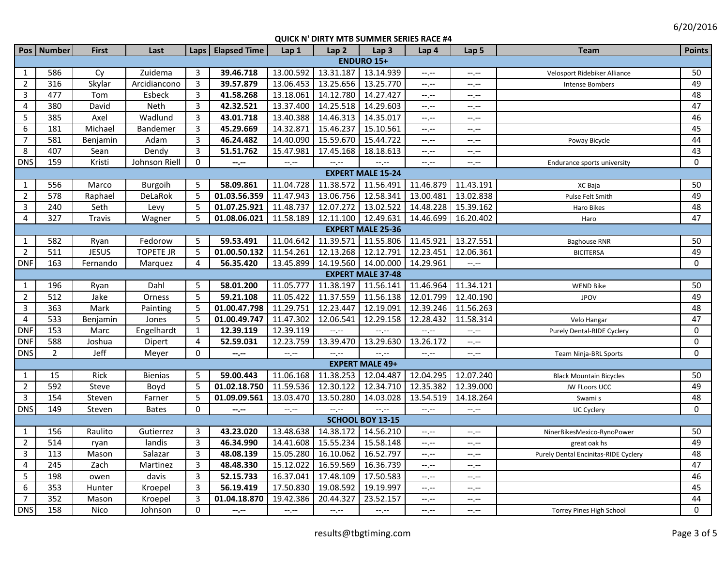|                          | Pos   Number   | <b>First</b> | Last             |                | Laps   Elapsed Time | Lap 1                       | Lap <sub>2</sub>    | Lap <sub>3</sub>       | Lap <sub>4</sub> | Lap <sub>5</sub> | <b>Team</b>                          | <b>Points</b>   |
|--------------------------|----------------|--------------|------------------|----------------|---------------------|-----------------------------|---------------------|------------------------|------------------|------------------|--------------------------------------|-----------------|
| <b>ENDURO 15+</b>        |                |              |                  |                |                     |                             |                     |                        |                  |                  |                                      |                 |
| $\mathbf{1}$             | 586            | Cv           | Zuidema          | 3              | 39.46.718           | 13.00.592                   | 13.31.187           | 13.14.939              | --,--            | $-1, -1$         | Velosport Ridebiker Alliance         | 50              |
| $\overline{2}$           | 316            | Skylar       | Arcidiancono     | 3              | 39.57.879           | 13.06.453                   | 13.25.656 13.25.770 |                        | $-1$             | $-1 - 1 - 1 = 0$ | Intense Bombers                      | 49              |
| $\mathbf{3}$             | 477            | Tom          | Esbeck           | 3              | 41.58.268           | 13.18.061                   | 14.12.780           | 14.27.427              | $-1, -1$         | $-1, -1$         |                                      | 48              |
| 4                        | 380            | David        | Neth             | 3              | 42.32.521           | 13.37.400                   | 14.25.518 14.29.603 |                        | $-1, -1$         | $-1, -1$         |                                      | 47              |
| 5                        | 385            | Axel         | Wadlund          | $\overline{3}$ | 43.01.718           | 13.40.388                   | 14.46.313           | 14.35.017              | $-1, -1$         | $-1, -1$         |                                      | 46              |
| 6                        | 181            | Michael      | Bandemer         | 3              | 45.29.669           | 14.32.871                   | 15.46.237           | 15.10.561              | $-1, -1$         | $-1, -1$         |                                      | 45              |
| $\overline{7}$           | 581            | Benjamin     | Adam             | 3              | 46.24.482           | 14.40.090                   | 15.59.670           | 15.44.722              | $-1$ , $-1$      | $-1, -1$         | Poway Bicycle                        | 44              |
| 8                        | 407            | Sean         | Dendy            | 3              | 51.51.762           | 15.47.981                   | 17.45.168           | 18.18.613              | $-1$ , $-1$      | $-1 - 1 - 1 = 0$ |                                      | 43              |
| <b>DNS</b>               | 159            | Kristi       | Johnson Riell    | $\Omega$       | --.--               | $\leftarrow$ , $\leftarrow$ |                     | --.--                  | --.--            | $-1 - 1 - 1 = 0$ | Endurance sports university          | $\Omega$        |
| <b>EXPERT MALE 15-24</b> |                |              |                  |                |                     |                             |                     |                        |                  |                  |                                      |                 |
| $\mathbf{1}$             | 556            | Marco        | Burgoih          | 5              | 58.09.861           | 11.04.728                   | 11.38.572 11.56.491 |                        | 11.46.879        | 11.43.191        | XC Baja                              | 50              |
| $\overline{2}$           | 578            | Raphael      | DeLaRok          | 5              | 01.03.56.359        | 11.47.943                   | 13.06.756           | 12.58.341              | 13.00.481        | 13.02.838        | Pulse Felt Smith                     | 49              |
| 3                        | 240            | Seth         | Levy             | 5              | 01.07.25.921        | 11.48.737                   | 12.07.272 13.02.522 |                        | 14.48.228        | 15.39.162        | Haro Bikes                           | 48              |
| $\overline{4}$           | 327            | Travis       | Wagner           | -5             | 01.08.06.021        | 11.58.189                   | 12.11.100 12.49.631 |                        | 14.46.699        | 16.20.402        | Haro                                 | 47              |
| <b>EXPERT MALE 25-36</b> |                |              |                  |                |                     |                             |                     |                        |                  |                  |                                      |                 |
| $\mathbf{1}$             | 582            | Ryan         | Fedorow          | 5              | 59.53.491           | 11.04.642                   |                     | 11.39.571 11.55.806    | 11.45.921        | 13.27.551        | <b>Baghouse RNR</b>                  | 50              |
| $\overline{2}$           | 511            | <b>JESUS</b> | <b>TOPETE JR</b> | 5              | 01.00.50.132        | 11.54.261                   | 12.13.268           | 12.12.791              | 12.23.451        | 12.06.361        | <b>BICITERSA</b>                     | 49              |
| <b>DNF</b>               | 163            | Fernando     | Marquez          | 4              | 56.35.420           | 13.45.899                   |                     | 14.19.560 14.00.000    | 14.29.961        | $-1$             |                                      | $\Omega$        |
| <b>EXPERT MALE 37-48</b> |                |              |                  |                |                     |                             |                     |                        |                  |                  |                                      |                 |
| $\mathbf{1}$             | 196            | Ryan         | Dahl             | 5              | 58.01.200           | 11.05.777                   | 11.38.197           | 11.56.141              | 11.46.964        | 11.34.121        | <b>WEND Bike</b>                     | 50              |
| $\overline{2}$           | 512            | Jake         | Orness           | 5              | 59.21.108           | 11.05.422                   | 11.37.559           | 11.56.138              | 12.01.799        | 12.40.190        | <b>JPOV</b>                          | 49              |
| $\overline{3}$           | 363            | Mark         | Painting         | 5              | 01.00.47.798        | 11.29.751                   | 12.23.447           | 12.19.091              | 12.39.246        | 11.56.263        |                                      | 48              |
| $\overline{4}$           | 533            | Benjamin     | Jones            | -5             | 01.00.49.747        | 11.47.302                   | 12.06.541           | 12.29.158              | 12.28.432        | 11.58.314        | Velo Hangar                          | $\overline{47}$ |
| <b>DNF</b>               | 153            | Marc         | Engelhardt       | $\mathbf{1}$   | 12.39.119           | 12.39.119                   | $-1 - 1 - 1 = 0$    | $-1 - 1 - 1 = 0$       | $-1$             | $-1$             | Purely Dental-RIDE Cyclery           | $\mathbf 0$     |
| <b>DNF</b>               | 588            | Joshua       | Dipert           | $\overline{4}$ | 52.59.031           | 12.23.759                   | 13.39.470           | 13.29.630              | 13.26.172        | $-1, -1$         |                                      | $\mathbf 0$     |
| <b>DNS</b>               | $\overline{2}$ | Jeff         | Meyer            | $\Omega$       | --.--               | $-1, -1$                    | $-1$ , $-1$         | $-1$ , $-1$            | $-1$ , $-1$      | $-1, -1$         | Team Ninja-BRL Sports                | $\Omega$        |
|                          |                |              |                  |                |                     |                             |                     | <b>EXPERT MALE 49+</b> |                  |                  |                                      |                 |
| $\mathbf{1}$             | 15             | Rick         | <b>Bienias</b>   | 5              | 59.00.443           | 11.06.168                   | 11.38.253           | 12.04.487              | 12.04.295        | 12.07.240        | <b>Black Mountain Bicycles</b>       | 50              |
| $\overline{2}$           | 592            | Steve        | Boyd             | 5              | 01.02.18.750        | 11.59.536                   | 12.30.122           | 12.34.710              | 12.35.382        | 12.39.000        | JW FLoors UCC                        | 49              |
| $\overline{3}$           | 154            | Steven       | Farner           | 5              | 01.09.09.561        | 13.03.470                   | 13.50.280           | 14.03.028              | 13.54.519        | 14.18.264        | Swami s                              | 48              |
| <b>DNS</b>               | 149            | Steven       | <b>Bates</b>     | $\Omega$       | $- - - - -$         | $-1$ , $-1$                 | $-1 - 1 - 1 = 0$    | $-1$ , $-1$            | $-1$             | $-1$ .           | UC Cyclery                           | 0               |
|                          |                |              |                  |                |                     |                             |                     | SCHOOL BOY 13-15       |                  |                  |                                      |                 |
| $\mathbf{1}$             | 156            | Raulito      | Gutierrez        | 3              | 43.23.020           | 13.48.638                   | 14.38.172           | 14.56.210              | $-1$             | $-1, -1$         | NinerBikesMexico-RynoPower           | 50              |
| $\overline{2}$           | 514            | ryan         | landis           | 3              | 46.34.990           | 14.41.608                   | 15.55.234 15.58.148 |                        | $-1$ , $-1$      | $-1, -1$         | great oak hs                         | 49              |
| $\mathbf{3}$             | 113            | Mason        | Salazar          | 3              | 48.08.139           | 15.05.280                   | 16.10.062           | 16.52.797              | $-1$ , $-1$      | $-1, -1$         | Purely Dental Encinitas-RIDE Cyclery | 48              |
| 4                        | 245            | Zach         | Martinez         | 3              | 48.48.330           | 15.12.022                   | 16.59.569           | 16.36.739              | $-1, -1$         | $-1, -1$         |                                      | 47              |
| 5                        | 198            | owen         | davis            | 3              | 52.15.733           | 16.37.041                   | 17.48.109           | 17.50.583              | $-1, -1$         | $-1, -1$         |                                      | 46              |
| 6                        | 353            | Hunter       | Kroepel          | 3              | 56.19.419           | 17.50.830                   | 19.08.592           | 19.19.997              | $-1$             | $-1 - 1 - 1 = 0$ |                                      | 45              |
| $\overline{7}$           | 352            | Mason        | Kroepel          | 3              | 01.04.18.870        | 19.42.386                   | 20.44.327           | 23.52.157              | --,--            | $-1 - 1 - 1 = 0$ |                                      | 44              |
| <b>DNS</b>               | 158            | Nico         | Johnson          | $\Omega$       | $-2 - 1$            | $-1$ , $-1$                 | $-1.1 - 1.0$        | $-1 - 1 - 1 = 0$       | $-1$             | $-1$ , $-1$      | <b>Torrey Pines High School</b>      | $\Omega$        |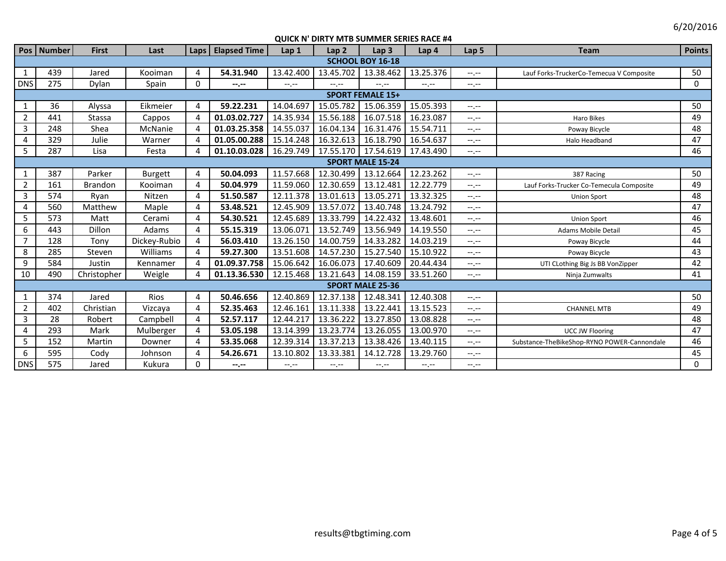6/20/2016

|                | Pos   Number            | <b>First</b>   | Last           | Laps                  | <b>Elapsed Time</b> | Lap 1       | Lap <sub>2</sub>    | Lap <sub>3</sub>        | Lap 4            | Lap <sub>5</sub> | <b>Team</b>                                 | <b>Points</b> |
|----------------|-------------------------|----------------|----------------|-----------------------|---------------------|-------------|---------------------|-------------------------|------------------|------------------|---------------------------------------------|---------------|
|                | <b>SCHOOL BOY 16-18</b> |                |                |                       |                     |             |                     |                         |                  |                  |                                             |               |
| 1              | 439                     | Jared          | Kooiman        | 4                     | 54.31.940           | 13.42.400   | 13.45.702           | 13.38.462               | 13.25.376        | $-1 - 1 - 1 = 0$ | Lauf Forks-TruckerCo-Temecua V Composite    | 50            |
| <b>DNS</b>     | 275                     | Dylan          | Spain          | $\mathbf{0}$          | --.--               | $-1, -1$    | $-1, -1$            | $-1 - 1 - 1 = 0$        | $-1$ , $-1$      | $-1$ , $-1$      |                                             | 0             |
|                | <b>SPORT FEMALE 15+</b> |                |                |                       |                     |             |                     |                         |                  |                  |                                             |               |
| 1              | 36                      | Alyssa         | Eikmeier       | $\overline{4}$        | 59.22.231           | 14.04.697   | 15.05.782           | 15.06.359               | 15.05.393        | $-1, -1$         |                                             | 50            |
| $\overline{2}$ | 441                     | Stassa         | Cappos         | 4                     | 01.03.02.727        | 14.35.934   | 15.56.188           | 16.07.518               | 16.23.087        | $-1 - 1 - 1 = 0$ | <b>Haro Bikes</b>                           | 49            |
| 3              | 248                     | Shea           | McNanie        | $\overline{4}$        | 01.03.25.358        | 14.55.037   | 16.04.134           | 16.31.476               | 15.54.711        | $-1 - 1 - 1 = 0$ | Poway Bicycle                               | 48            |
| 4              | 329                     | Julie          | Warner         | $\overline{4}$        | 01.05.00.288        | 15.14.248   | 16.32.613           | 16.18.790               | 16.54.637        | $-1, -1$         | Halo Headband                               | 47            |
| 5              | 287                     | Lisa           | Festa          | $\boldsymbol{\Delta}$ | 01.10.03.028        | 16.29.749   | 17.55.170           | 17.54.619               | 17.43.490        | $-1$ , $-1$      |                                             | 46            |
|                | <b>SPORT MALE 15-24</b> |                |                |                       |                     |             |                     |                         |                  |                  |                                             |               |
| $\mathbf{1}$   | 387                     | Parker         | <b>Burgett</b> | 4                     | 50.04.093           | 11.57.668   | 12.30.499           | 13.12.664               | 12.23.262        | $-1$ , $-1$      | 387 Racing                                  | 50            |
| $\overline{2}$ | 161                     | <b>Brandon</b> | Kooiman        | 4                     | 50.04.979           | 11.59.060   | 12.30.659           | 13.12.481               | 12.22.779        | $-1 - 1 - 1 = 0$ | Lauf Forks-Trucker Co-Temecula Composite    | 49            |
| 3              | 574                     | Ryan           | Nitzen         | 4                     | 51.50.587           | 12.11.378   | 13.01.613           | 13.05.271               | 13.32.325        | $-1$ , $-1$      | <b>Union Sport</b>                          | 48            |
| 4              | 560                     | Matthew        | Maple          | 4                     | 53.48.521           | 12.45.909   | 13.57.072           | 13.40.748               | 13.24.792        | $-1, -1$         |                                             | 47            |
| 5              | 573                     | Matt           | Cerami         | 4                     | 54.30.521           | 12.45.689   | 13.33.799           | 14.22.432               | 13.48.601        | $-1$ , $-1$      | <b>Union Sport</b>                          | 46            |
| 6              | 443                     | Dillon         | Adams          | 4                     | 55.15.319           | 13.06.071   | 13.52.749           | 13.56.949               | 14.19.550        | $-1$ , $-1$      | Adams Mobile Detail                         | 45            |
| $\overline{7}$ | 128                     | Tony           | Dickey-Rubio   | 4                     | 56.03.410           | 13.26.150   | 14.00.759           | 14.33.282               | 14.03.219        | $-1, -1$         | Poway Bicycle                               | 44            |
| 8              | 285                     | Steven         | Williams       | 4                     | 59.27.300           | 13.51.608   | 14.57.230           | 15.27.540               | 15.10.922        | $-1$ , $-1$      | Poway Bicycle                               | 43            |
| 9              | 584                     | Justin         | Kennamer       | 4                     | 01.09.37.758        | 15.06.642   | 16.06.073           | 17.40.609               | 20.44.434        | $-1$ , $-1$      | UTI CLothing Big Js BB VonZipper            | 42            |
| 10             | 490                     | Christopher    | Weigle         | 4                     | 01.13.36.530        | 12.15.468   | 13.21.643 14.08.159 |                         | 33.51.260        | $--, --$         | Ninja Zumwalts                              | 41            |
|                |                         |                |                |                       |                     |             |                     | <b>SPORT MALE 25-36</b> |                  |                  |                                             |               |
| 1              | 374                     | Jared          | Rios           | 4                     | 50.46.656           | 12.40.869   | 12.37.138           | 12.48.341               | 12.40.308        | $-1$ , $-1$      |                                             | 50            |
| $\overline{2}$ | 402                     | Christian      | Vizcaya        | 4                     | 52.35.463           | 12.46.161   | 13.11.338           | 13.22.441               | 13.15.523        | $-1$ , $-1$      | <b>CHANNEL MTB</b>                          | 49            |
| 3              | 28                      | Robert         | Campbell       | 4                     | 52.57.117           | 12.44.217   | 13.36.222           | 13.27.850               | 13.08.828        | $-1 - 1 - 1 = 0$ |                                             | 48            |
| 4              | 293                     | Mark           | Mulberger      | 4                     | 53.05.198           | 13.14.399   | 13.23.774           | 13.26.055               | 13.00.970        | $-1 - 1 - 1 = 0$ | <b>UCC JW Flooring</b>                      | 47            |
| 5              | 152                     | Martin         | Downer         | 4                     | 53.35.068           | 12.39.314   | 13.37.213           | 13.38.426               | 13.40.115        | $-1 - 1 - 1 = 0$ | Substance-TheBikeShop-RYNO POWER-Cannondale | 46            |
| 6              | 595                     | Cody           | Johnson        | 4                     | 54.26.671           | 13.10.802   | 13.33.381           | 14.12.728               | 13.29.760        | $-1, -1$         |                                             | 45            |
| <b>DNS</b>     | 575                     | Jared          | Kukura         | $\Omega$              | --.--               | $-1$ , $-1$ | $-1. -1$            | $-1$ , $-1$             | $-1 - 1 - 1 = 0$ | $-1. -1$         |                                             | $\Omega$      |